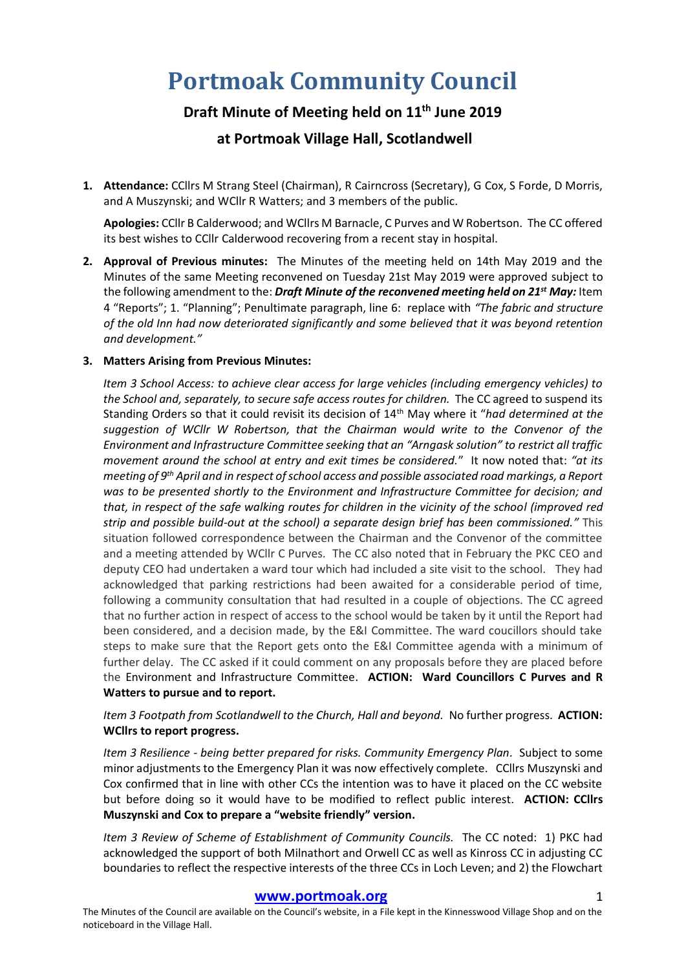# **Portmoak Community Council**

# **Draft Minute of Meeting held on 11th June 2019 at Portmoak Village Hall, Scotlandwell**

**1. Attendance:** CCllrs M Strang Steel (Chairman), R Cairncross (Secretary), G Cox, S Forde, D Morris, and A Muszynski; and WCllr R Watters; and 3 members of the public.

**Apologies:** CCllr B Calderwood; and WCllrs M Barnacle, C Purves and W Robertson. The CC offered its best wishes to CCllr Calderwood recovering from a recent stay in hospital.

**2. Approval of Previous minutes:** The Minutes of the meeting held on 14th May 2019 and the Minutes of the same Meeting reconvened on Tuesday 21st May 2019 were approved subject to the following amendment to the: *Draft Minute of the reconvened meeting held on 21st May:* Item 4 "Reports"; 1. "Planning"; Penultimate paragraph, line 6: replace with *"The fabric and structure of the old Inn had now deteriorated significantly and some believed that it was beyond retention and development."*

# **3. Matters Arising from Previous Minutes:**

*Item 3 School Access: to achieve clear access for large vehicles (including emergency vehicles) to*  the School and, separately, to secure safe access routes for children. The CC agreed to suspend its Standing Orders so that it could revisit its decision of 14th May where it "*had determined at the suggestion of WCllr W Robertson, that the Chairman would write to the Convenor of the Environment and Infrastructure Committee seeking that an "Arngask solution" to restrict all traffic movement around the school at entry and exit times be considered.*" It now noted that: *"at its meeting of 9th April and in respect of school access and possible associated road markings, a Report was to be presented shortly to the Environment and Infrastructure Committee for decision; and that, in respect of the safe walking routes for children in the vicinity of the school (improved red strip and possible build-out at the school) a separate design brief has been commissioned."* This situation followed correspondence between the Chairman and the Convenor of the committee and a meeting attended by WCllr C Purves. The CC also noted that in February the PKC CEO and deputy CEO had undertaken a ward tour which had included a site visit to the school. They had acknowledged that parking restrictions had been awaited for a considerable period of time, following a community consultation that had resulted in a couple of objections. The CC agreed that no further action in respect of access to the school would be taken by it until the Report had been considered, and a decision made, by the E&I Committee. The ward coucillors should take steps to make sure that the Report gets onto the E&I Committee agenda with a minimum of further delay. The CC asked if it could comment on any proposals before they are placed before the Environment and Infrastructure Committee. **ACTION: Ward Councillors C Purves and R Watters to pursue and to report.**

# *Item 3 Footpath from Scotlandwell to the Church, Hall and beyond.* No further progress.**ACTION: WCllrs to report progress.**

*Item 3 Resilience - being better prepared for risks. Community Emergency Plan.* Subject to some minor adjustments to the Emergency Plan it was now effectively complete. CCllrs Muszynski and Cox confirmed that in line with other CCs the intention was to have it placed on the CC website but before doing so it would have to be modified to reflect public interest. **ACTION: CCllrs Muszynski and Cox to prepare a "website friendly" version.**

*Item 3 Review of Scheme of Establishment of Community Councils.* The CC noted: 1) PKC had acknowledged the support of both Milnathort and Orwell CC as well as Kinross CC in adjusting CC boundaries to reflect the respective interests of the three CCs in Loch Leven; and 2) the Flowchart

#### **[www.portmoak.org](http://www.portmoak.org/)** 1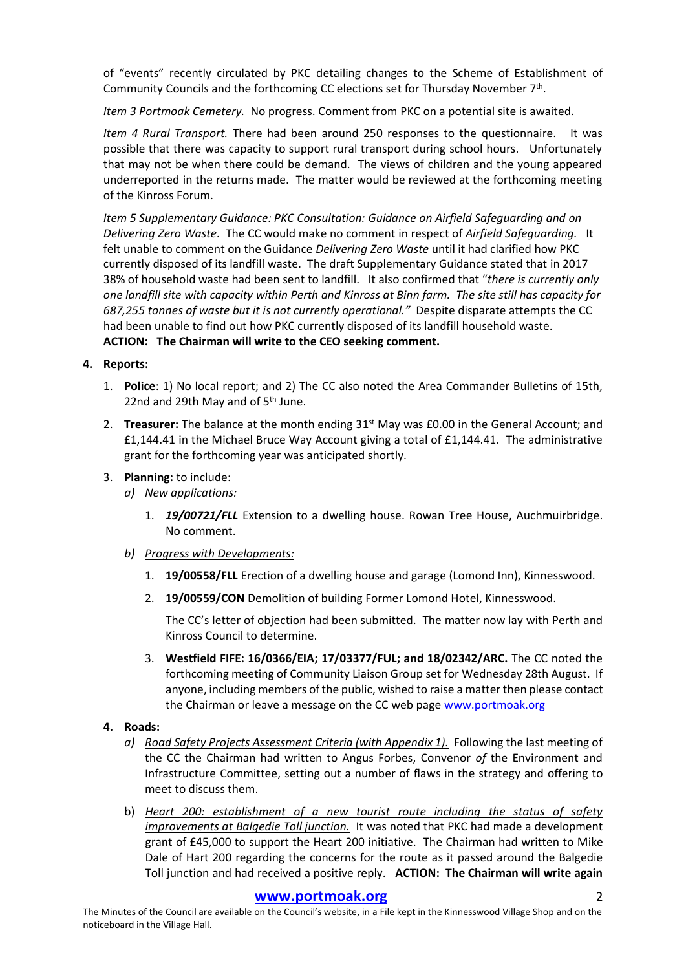of "events" recently circulated by PKC detailing changes to the Scheme of Establishment of Community Councils and the forthcoming CC elections set for Thursday November 7<sup>th</sup>.

*Item 3 Portmoak Cemetery.* No progress. Comment from PKC on a potential site is awaited.

*Item 4 Rural Transport.* There had been around 250 responses to the questionnaire. It was possible that there was capacity to support rural transport during school hours. Unfortunately that may not be when there could be demand. The views of children and the young appeared underreported in the returns made. The matter would be reviewed at the forthcoming meeting of the Kinross Forum.

*Item 5 Supplementary Guidance: PKC Consultation: Guidance on Airfield Safeguarding and on Delivering Zero Waste.* The CC would make no comment in respect of *Airfield Safeguarding.* It felt unable to comment on the Guidance *Delivering Zero Waste* until it had clarified how PKC currently disposed of its landfill waste. The draft Supplementary Guidance stated that in 2017 38% of household waste had been sent to landfill. It also confirmed that "*there is currently only one landfill site with capacity within Perth and Kinross at Binn farm. The site still has capacity for 687,255 tonnes of waste but it is not currently operational."* Despite disparate attempts the CC had been unable to find out how PKC currently disposed of its landfill household waste. **ACTION: The Chairman will write to the CEO seeking comment.**

# **4. Reports:**

- 1. **Police**: 1) No local report; and 2) The CC also noted the Area Commander Bulletins of 15th, 22nd and 29th May and of 5<sup>th</sup> June.
- 2. Treasurer: The balance at the month ending 31<sup>st</sup> May was £0.00 in the General Account; and £1,144.41 in the Michael Bruce Way Account giving a total of £1,144.41. The administrative grant for the forthcoming year was anticipated shortly.
- 3. **Planning:** to include:
	- *a) New applications:*
		- 1. *19/00721/FLL* Extension to a dwelling house. Rowan Tree House, Auchmuirbridge. No comment.
	- *b) Progress with Developments:*
		- 1. **19/00558/FLL** Erection of a dwelling house and garage (Lomond Inn), Kinnesswood.
		- 2. **19/00559/CON** Demolition of building Former Lomond Hotel, Kinnesswood.

The CC's letter of objection had been submitted. The matter now lay with Perth and Kinross Council to determine.

3. **Westfield FIFE: 16/0366/EIA; 17/03377/FUL; and 18/02342/ARC.** The CC noted the forthcoming meeting of Community Liaison Group set for Wednesday 28th August. If anyone, including members of the public, wished to raise a matter then please contact the Chairman or leave a message on the CC web pag[e www.portmoak.org](http://www.portmoak.org/)

# **4. Roads:**

- *a) Road Safety Projects Assessment Criteria (with Appendix 1).* Following the last meeting of the CC the Chairman had written to Angus Forbes, Convenor *of* the Environment and Infrastructure Committee, setting out a number of flaws in the strategy and offering to meet to discuss them.
- b) *Heart 200: establishment of a new tourist route including the status of safety improvements at Balgedie Toll junction.* It was noted that PKC had made a development grant of £45,000 to support the Heart 200 initiative. The Chairman had written to Mike Dale of Hart 200 regarding the concerns for the route as it passed around the Balgedie Toll junction and had received a positive reply. **ACTION: The Chairman will write again**

# **[www.portmoak.org](http://www.portmoak.org/)** 2